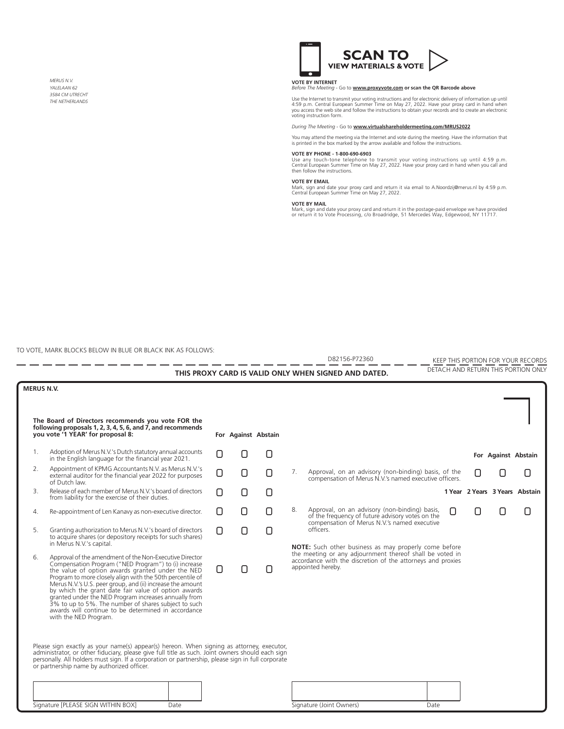*MERUS N.V. YALELAAN 62 3584 CM UTRECHT THE NETHERLANDS*



**VOTE BY INTERNET**  *Before The Meeting* - Go to **www.proxyvote.com or scan the QR Barcode above**

Use the Internet to transmit your voting instructions and for electronic delivery of information up until<br>4:59 p.m. Central European Summer Time on May 27, 2022. Have your proxy card in hand when<br>you access the web site an

*During The Meeting* - Go to **www.virtualshareholdermeeting.com/MRUS2022**

You may attend the meeting via the Internet and vote during the meeting. Have the information that is printed in the box marked by the arrow available and follow the instructions.

## **VOTE BY PHONE - 1-800-690-6903**

Use any touch-tone telephone to transmit your voting instructions up until 4:59 p.m. Central European Summer Time on May 27, 2022. Have your proxy card in hand when you call and then follow the instructions.

**VOTE BY EMAIL** Mark, sign and date your proxy card and return it via email to A.Noordzij@merus.nl by 4:59 p.m. Central European Summer Time on May 27, 2022.

**VOTE BY MAIL**<br>Mark, sign and date your proxy card and return it in the postage-paid envelope we have provided<br>or return it to Vote Processing, *c*/o Broadridge, 51 Mercedes Way, Edgewood, NY 11717.

D82156-P72360 KEEP THIS PORTION FOR YOUR RECORDS

TO VOTE, MARK BLOCKS BELOW IN BLUE OR BLACK INK AS FOLLOWS:

- -- -- -- -- -- -- -

| DETACH AND RETURN THIS PORTION ONLY<br>THIS PROXY CARD IS VALID ONLY WHEN SIGNED AND DATED.                                                                     |                                                                                                                                                                                                                                                                                                                                                                                                                                                                                                                                                        |  |  |                     |    |                                                                                                                                              |  |                     |                                |
|-----------------------------------------------------------------------------------------------------------------------------------------------------------------|--------------------------------------------------------------------------------------------------------------------------------------------------------------------------------------------------------------------------------------------------------------------------------------------------------------------------------------------------------------------------------------------------------------------------------------------------------------------------------------------------------------------------------------------------------|--|--|---------------------|----|----------------------------------------------------------------------------------------------------------------------------------------------|--|---------------------|--------------------------------|
| <b>MERUS N.V.</b>                                                                                                                                               |                                                                                                                                                                                                                                                                                                                                                                                                                                                                                                                                                        |  |  |                     |    |                                                                                                                                              |  |                     |                                |
| The Board of Directors recommends you vote FOR the<br>following proposals 1, 2, 3, 4, 5, 6, and $\vec{7}$ , and recommends<br>you vote '1 YEAR' for proposal 8: |                                                                                                                                                                                                                                                                                                                                                                                                                                                                                                                                                        |  |  | For Against Abstain |    |                                                                                                                                              |  |                     |                                |
| 1 <sup>1</sup>                                                                                                                                                  | Adoption of Merus N.V.'s Dutch statutory annual accounts<br>in the English language for the financial year 2021.                                                                                                                                                                                                                                                                                                                                                                                                                                       |  |  |                     |    |                                                                                                                                              |  | For Against Abstain |                                |
| 2.                                                                                                                                                              | Appointment of KPMG Accountants N.V. as Merus N.V.'s<br>external auditor for the financial year 2022 for purposes<br>of Dutch law.                                                                                                                                                                                                                                                                                                                                                                                                                     |  |  |                     | 7. | Approval, on an advisory (non-binding) basis, of the<br>compensation of Merus N.V.'s named executive officers.                               |  |                     |                                |
| 3.                                                                                                                                                              | Release of each member of Merus N.V.'s board of directors<br>from liability for the exercise of their duties.                                                                                                                                                                                                                                                                                                                                                                                                                                          |  |  |                     |    |                                                                                                                                              |  |                     | 1 Year 2 Years 3 Years Abstain |
| 4.                                                                                                                                                              | Re-appointment of Len Kanavy as non-executive director.                                                                                                                                                                                                                                                                                                                                                                                                                                                                                                |  |  |                     | 8. | Approval, on an advisory (non-binding) basis,<br>of the frequency of future advisory votes on the                                            |  |                     |                                |
| 5.                                                                                                                                                              | Granting authorization to Merus N.V.'s board of directors<br>to acquire shares (or depository receipts for such shares)<br>in Merus N.V.'s capital.                                                                                                                                                                                                                                                                                                                                                                                                    |  |  |                     |    | compensation of Merus N.V.'s named executive<br>officers.<br>NOTE: Such other business as may properly come before                           |  |                     |                                |
| 6.                                                                                                                                                              | Approval of the amendment of the Non-Executive Director<br>Compensation Program ("NED Program") to (i) increase<br>the value of option awards granted under the NED<br>Program to more closely align with the 50th percentile of<br>Merus N.V.'s U.S. peer group, and (ii) increase the amount<br>by which the grant date fair value of option awards<br>granted under the NED Program increases annually from<br>3% to up to 5%. The number of shares subject to such<br>awards will continue to be determined in accordance<br>with the NED Program. |  |  |                     |    | the meeting or any adjournment thereof shall be voted in<br>accordance with the discretion of the attorneys and proxies<br>appointed hereby. |  |                     |                                |
|                                                                                                                                                                 | Please sign exactly as your name(s) appear(s) hereon. When signing as attorney, executor,<br>administrator, or other fiduciary, please give full title as such. Joint owners should each sign<br>personally. All holders must sign. If a corporation or partnership, please sign in full corporate<br>or partnership name by authorized officer.<br>Signature [PLEASE SIGN WITHIN BOX]<br>Date                                                                                                                                                         |  |  |                     |    | Signature (Joint Owners)<br>Date                                                                                                             |  |                     |                                |

- - - - - - -

 $-$